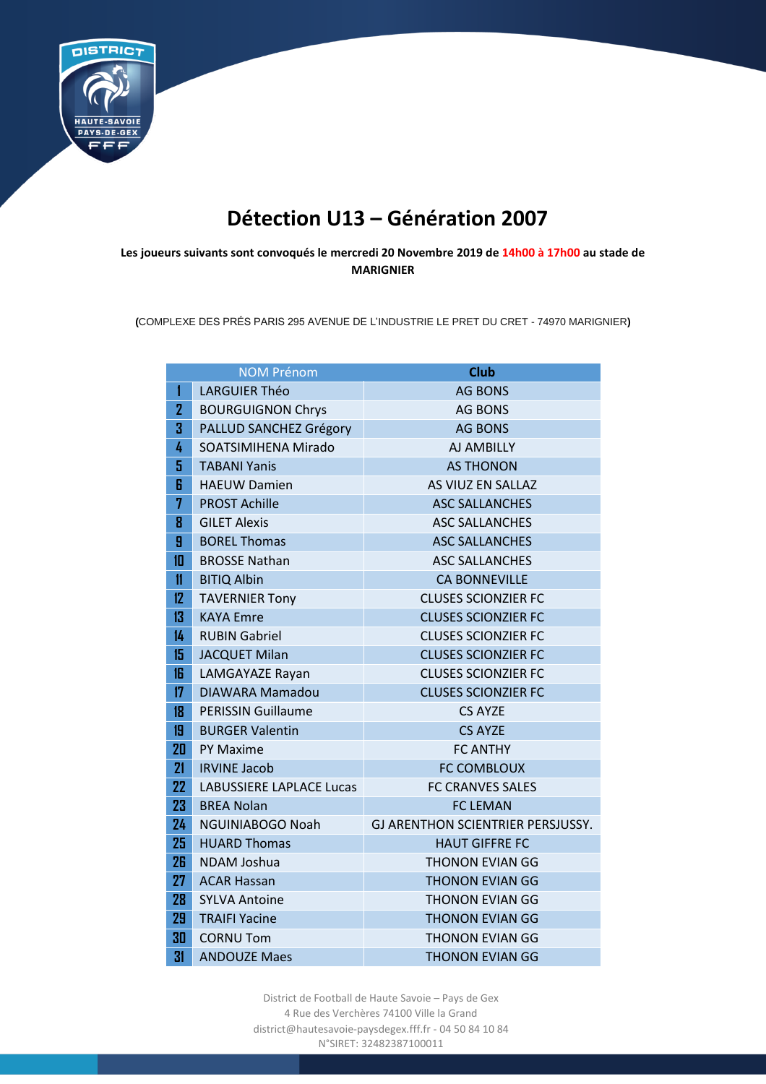

## **Détection U13 – Génération 2007**

**Les joueurs suivants sont convoqués le mercredi 20 Novembre 2019 de 14h00 à 17h00 au stade de MARIGNIER**

**(**COMPLEXE DES PRÉS PARIS 295 AVENUE DE L'INDUSTRIE LE PRET DU CRET - 74970 MARIGNIER**)**

| <b>NOM Prénom</b> |                                 | <b>Club</b>                       |
|-------------------|---------------------------------|-----------------------------------|
| 1                 | <b>LARGUIER Théo</b>            | <b>AG BONS</b>                    |
| $\overline{z}$    | <b>BOURGUIGNON Chrys</b>        | <b>AG BONS</b>                    |
| 3                 | PALLUD SANCHEZ Grégory          | <b>AG BONS</b>                    |
| 4                 | <b>SOATSIMIHENA Mirado</b>      | AJ AMBILLY                        |
| 5                 | <b>TABANI Yanis</b>             | <b>AS THONON</b>                  |
| 6                 | <b>HAEUW Damien</b>             | AS VIUZ EN SALLAZ                 |
| 7                 | <b>PROST Achille</b>            | <b>ASC SALLANCHES</b>             |
| 8                 | <b>GILET Alexis</b>             | <b>ASC SALLANCHES</b>             |
| 9                 | <b>BOREL Thomas</b>             | <b>ASC SALLANCHES</b>             |
| 10                | <b>BROSSE Nathan</b>            | <b>ASC SALLANCHES</b>             |
| $\mathbf{11}$     | <b>BITIQ Albin</b>              | <b>CA BONNEVILLE</b>              |
| 12                | <b>TAVERNIER Tony</b>           | <b>CLUSES SCIONZIER FC</b>        |
| 13                | <b>KAYA Emre</b>                | <b>CLUSES SCIONZIER FC</b>        |
| 14                | <b>RUBIN Gabriel</b>            | <b>CLUSES SCIONZIER FC</b>        |
| 15                | <b>JACQUET Milan</b>            | <b>CLUSES SCIONZIER FC</b>        |
| 16                | LAMGAYAZE Rayan                 | <b>CLUSES SCIONZIER FC</b>        |
| 17 <sup>2</sup>   | <b>DIAWARA Mamadou</b>          | <b>CLUSES SCIONZIER FC</b>        |
| 18                | <b>PERISSIN Guillaume</b>       | <b>CS AYZE</b>                    |
| 19                | <b>BURGER Valentin</b>          | <b>CS AYZE</b>                    |
| 20 <sub>2</sub>   | <b>PY Maxime</b>                | <b>FC ANTHY</b>                   |
| 21                | <b>IRVINE Jacob</b>             | <b>FC COMBLOUX</b>                |
| 22 <sub>1</sub>   | <b>LABUSSIERE LAPLACE Lucas</b> | <b>FC CRANVES SALES</b>           |
| 23                | <b>BREA Nolan</b>               | <b>FC LEMAN</b>                   |
| 24                | NGUINIABOGO Noah                | GJ ARENTHON SCIENTRIER PERSJUSSY. |
| 25                | <b>HUARD Thomas</b>             | <b>HAUT GIFFRE FC</b>             |
| 26                | NDAM Joshua                     | <b>THONON EVIAN GG</b>            |
| 27                | <b>ACAR Hassan</b>              | <b>THONON EVIAN GG</b>            |
| 28                | <b>SYLVA Antoine</b>            | <b>THONON EVIAN GG</b>            |
| 29                | <b>TRAIFI Yacine</b>            | <b>THONON EVIAN GG</b>            |
| 30                | <b>CORNU Tom</b>                | <b>THONON EVIAN GG</b>            |
| 31                | <b>ANDOUZE Maes</b>             | <b>THONON EVIAN GG</b>            |

District de Football de Haute Savoie – Pays de Gex 4 Rue des Verchères 74100 Ville la Grand [district@hautesavoie-paysdegex.fff.fr](mailto:district@hautesavoie-paysdegex.fff.fr) - 04 50 84 10 84 N°SIRET: 32482387100011